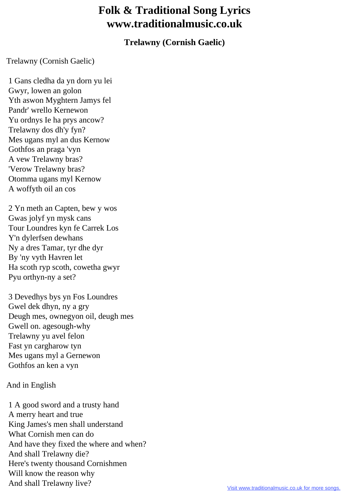## **Folk & Traditional Song Lyrics www.traditionalmusic.co.uk**

## **Trelawny (Cornish Gaelic)**

Trelawny (Cornish Gaelic)

 1 Gans cledha da yn dorn yu lei Gwyr, lowen an golon Yth aswon Myghtern Jamys fel Pandr' wrello Kernewon Yu ordnys Ie ha prys ancow? Trelawny dos dh'y fyn? Mes ugans myl an dus Kernow Gothfos an praga 'vyn A vew Trelawny bras? 'Verow Trelawny bras? Otomma ugans myl Kernow A woffyth oil an cos

 2 Yn meth an Capten, bew y wos Gwas jolyf yn mysk cans Tour Loundres kyn fe Carrek Los Y'n dylerfsen dewhans Ny a dres Tamar, tyr dhe dyr By 'ny vyth Havren let Ha scoth ryp scoth, cowetha gwyr Pyu orthyn-ny a set?

 3 Devedhys bys yn Fos Loundres Gwel dek dhyn, ny a gry Deugh mes, ownegyon oil, deugh mes Gwell on. agesough-why Trelawny yu avel felon Fast yn cargharow tyn Mes ugans myl a Gernewon Gothfos an ken a vyn

## And in English

 1 A good sword and a trusty hand A merry heart and true King James's men shall understand What Cornish men can do And have they fixed the where and when? And shall Trelawny die? Here's twenty thousand Cornishmen Will know the reason why And shall Trelawny live?